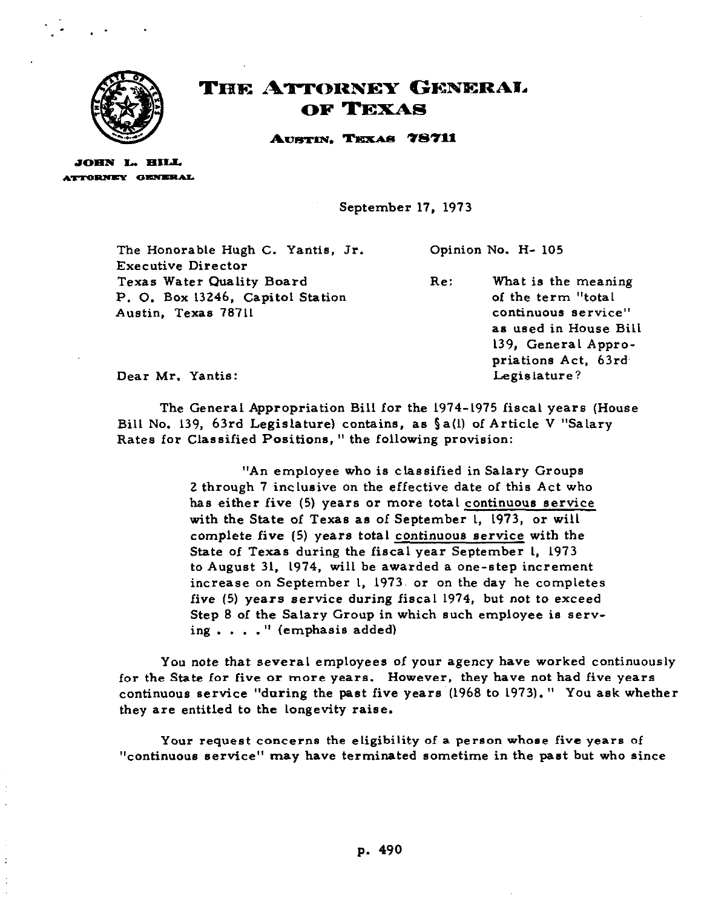

## THE ATTORNEY GENERAL OF TEXAS

AUSTIN, TEXAS 78711

JOHN L. HILL **ATTORNEY GENERAL** 

 $\bar{z}$ 

**September 17, 1973** 

**The Honorable Hugh C. Yantis, Jr. Executive Director Texas Water Quality Board P. 0. Box 13246, Capitol Station Austin, Texas 78711 Opinion No. H- 105 Re: What is the meaning of the term "total continuous service" as used in House Bill** 

**139, General Appropriations Act, 63rd,** 

**Legislature?** 

**Dear Mr. Yantis:** 

**The General Appropriation Bill for the 1974-1975 fiscal years (House Bill No. 139, 63rd Legislature) contains, as §a(l) of Article V "Salary**  Rates for Classified Positions," the following provision:

> **"An employee who is classified in Salary Groups 2 through 7 inclusive on the effective date of this Act who has either five (5) years or more total continuous service with the State of Texas as of September 1, 1973, or will complete five (5) years total continuous service with the State of Texas during the fiscal year September 1, 1973 to August 31. 1974, will be awarded a one-step increment**  increase on September 1, 1973 or on the day he completes **five (5) years service during fiscal 1974, but not to exceed Step 8 of the Salary Group in which such employee is serving . . . . " (emphasis added)**

**You note that several employees of your agency have worked continuously for the State for five or more years. However, they have not had five years continuous service "during the past five years (1968 to 1973). " You ask whether they are entitled to the longevity raise.** 

**Your request concerns the eligibility of a person whose five years of "continuous service" may have terminated sometime in the past but who since**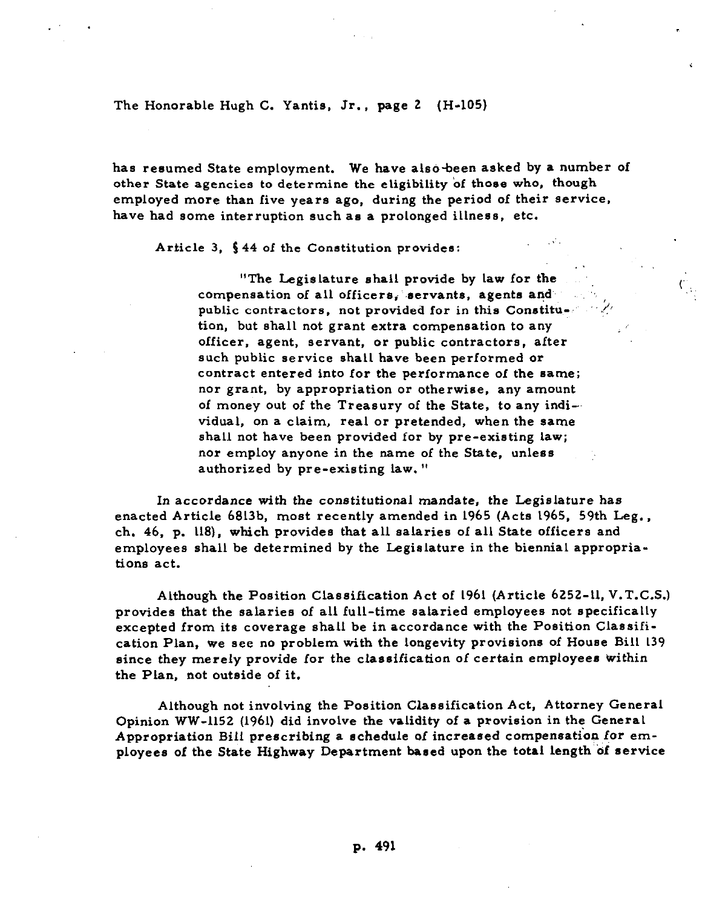**The Honorable Hugh C. Yantis, Jr., page 2 (H-105)** 

**has resumed State employment. We have also-been asked by a number of other State agencies to determine the eligibility 'of those who, though employed more than five years ago, during the period of their service, have had some interruption such as a prolonged illness, etc.** 

**Article 3, 5 44 of the Constitution provides:** 

"The Legislature shall provide by law for the compensation of all officers, servants, agents and public contractors, not provided for in this Constitu-. **tion, but shall not grant extra compensation to any officer, agent, servant, or public contractors, after such public service shall have been performed or contract entered into for the performance of the same; nor grant, by appropriation or otherwise, any amount**  of money out of the Treasury of the State, to any indi-**vidual, on a claim, real or pretended, when the same shall not have been provided for by pre-existing law; nor employ anyone in the name of the State, unless authorized by pre-existing law. "** 

**.** 

**t.1:** 

**In accordance with the constitutional mandate, the Legislature has enacted Article 6813b, most recently amended in 1965 (Acts 1965. 59th Leg., ch. 46, p. 118), which provides that all salaries of all State officers and employees shall be determined by the Legislature in the biennial appropriations act.** 

**Although the Position Classification Act of 1961 (Article 6252-11, V.T.C.S.) provides that the salaries of all full-time salaried employees not specifically excepted from its coverage shall be in accordance with the Position Classification Plan, we see no problem with the longevity provisions of House Bill 139 since they merely provide for the classification of certain employees within the Plan, not outside of it.** 

**Although not involving the Position Classification Act, Attorney General Opinion WW-1152 (1961) did involve the validity of a provision in the General**  Appropriation Bill prescribing a schedule of increased compensation for em**ployees of the State Highway Department based upon the total length of service**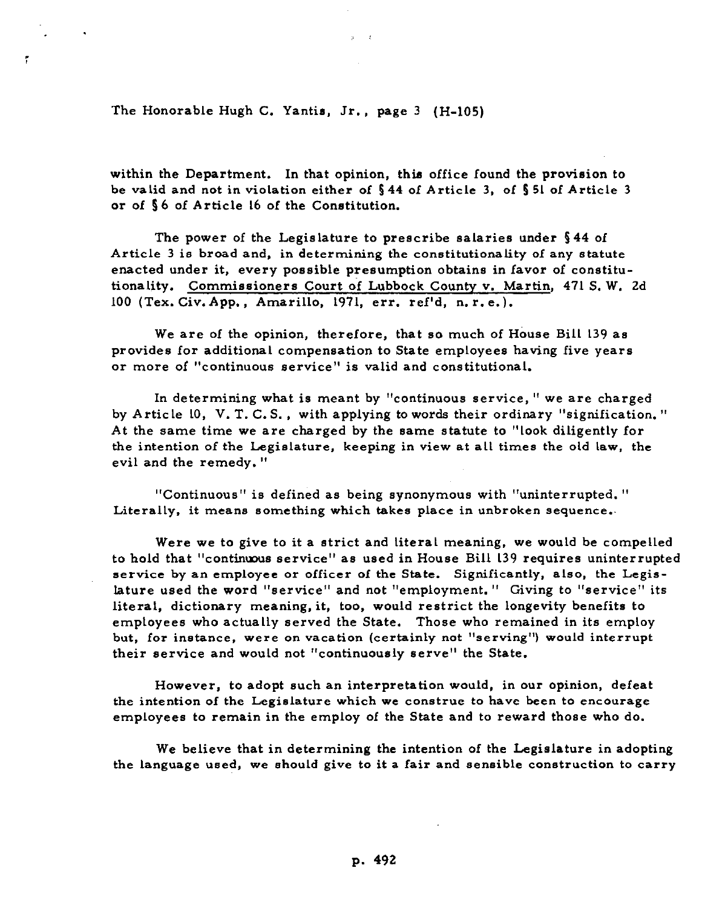**The Honorable Hugh C. Yantis, Jr., page 3 (H-105)** 

, .

:

**within the Department. In that opinion, this office found the provision to be valid and not in violation either of \$44 of Article 3, of 5 51 of Article 3 or of 5 6 of Article 16 of the Constitution.** 

**The power of the Legislature to prescribe salaries under 544 of Article 3 is broad and, in determining the constitutionality of any statute enacted under it. every possible presumption obtains in favor of constitutionality. Commissioners Court of Lubbock County v. Martin, 471 S. W. 2d 100 (Tex. Civ. App. , Amarillo, 1971, err. ref'd, n. r. e.).** 

**We are of the opinion, therefore, that so much of House Bill 139 as provides for additional compensation to State employees having five years or more of "continuous service" is valid and constitutional.** 

**In determining what is meant by "continuous service, " we are charged by Article 10, V. T. C. S. , with applying to words their ordinary "signification. " At the same time we are charged by the same statute to "look diligently for the intention of the Legislature, keeping in view at all times the old law, the evil and the remedy. "** 

**"Continuous" is defined as being synonymous with "uninterrupted. " Literally, it means something which takes place in unbroken sequence..** 

**Were we to give to it a strict and literal meaning, we would be compelled**  to hold that "continuous service" as used in House Bill 139 requires uninterrupted **service by an employee or officer of the State. Significantly, also, the Legislature used the word "service" and not "employment. " Giving to "service" its literal, dictionary meaning, it, too, would restrict the longevity benefits to employees who actually served the State. Those who remained in its employ**  but, for instance, were on vacation (certainly not "serving") would interrupt **their service and would not "continuously serve" the State.** 

**However, to adopt such an interpretation would, in our opinion, defeat the intention of the Legislature which we construe to have been to encourage employees to remain in the employ of the State and to reward those who do.** 

**We believe that in determining the intention of the Legislature in adopting the language used, we should give to it a fair and sensible construction to carry**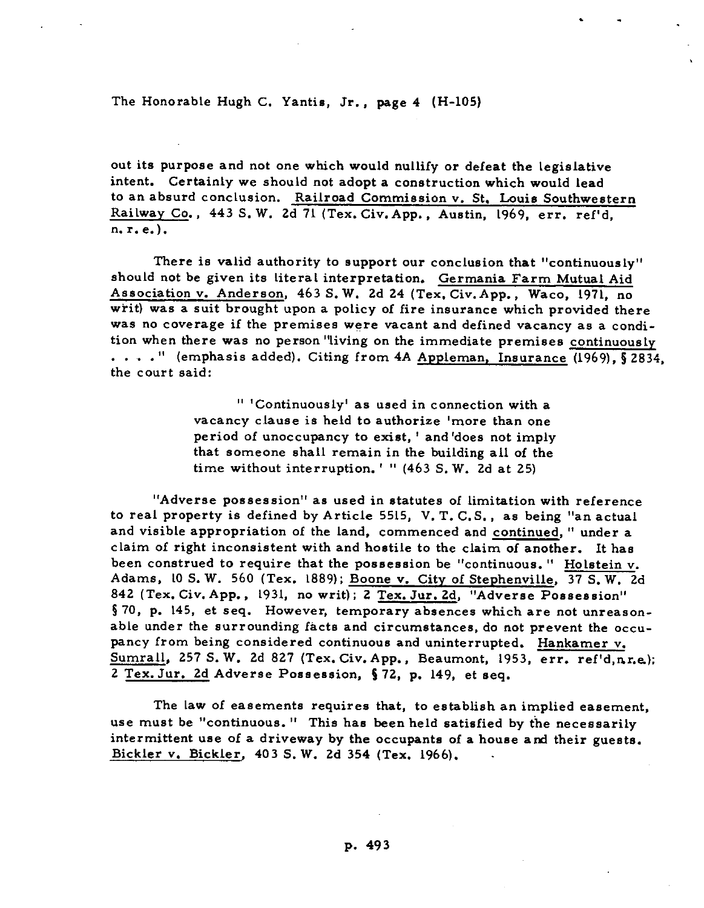**The Honorable Hugh C. Yantis, Jr., page 4 (H-105)** 

**out its purpose and not one which would nullify or defeat the legislative intent. Certainly we should not adopt a construction which would lead to an absurd conclusion. Railroad Commission V. St, Louis Southwestern Railway Co., 443 S. W. 2d 71 (Tex.Civ.App., Austin, 1969, err. ref'd, n.r.e.).** 

. -

**There is valid authority to support our conclusion that "continuously" should not be given its literal interpretation. Germania Farm Mutual Aid Association v. Anderson, 463 S. W. 2d 24 (Tex. Civ.App., Waco, 1971, no writ) was a suit brought upon a policy of fire insurance which provided there was no coverage if the premises were vacant and defined vacancy as a condition when there was no person 'living on the immediate premises continuously . . . . " (emphasis added). Citing from 4A Appleman. Insurance (1969). 5 2834, the court said:** 

> **" 'Continuously' as used in connection with a vacancy clause is held to authorize 'more than one period of unoccupancy to exist, ' and 'does not imply that someone shall remain in the building all of the time without interruption. ' I' (463 S. W. 2d at 25)**

**"Adverse possession" as used in statutes of limitation with reference to real property is defined by Article 5515, V. T. C.S., as being "an actual and visible appropriation of the land, commenced and continued, " under a claim of right inconsistent with and hostile to the claim of another. It has been construed to require that the possession be "continuous. " Holstein v. Adams, 10 S. W. 560 (Tex. 1889); Boone v. City of Stephenville, 37 S. W. 2d 842 (Tex. Civ. App., 1931, no writ); 2 Tex. Jur. 2d, "Adverse Possession" 5 70, p. 145, et seq. However, temporary absences which are not unreasonable under the surrounding facts and circumstances, do not prevent the occupancy from being considered continuous and uninterrupted. Hankamer v. Sumrall, 257 S. W. 2d 827 (Tex. Civ.App., Beaumont, 1953, err. ref'd,nr.e); 2 Tex. Jur. 2d Adverse Possession, 5 72, p. 149, et seq.** 

**The law of easements requires that, to establish an implied easement, use must be "continuous. " This has been held satisfied by the necessarily intermittent use of a driveway by the occupants of a house and their guests. Bickler v. Bickler. 403 S. W. 2d 354 (Tex. 1966). .**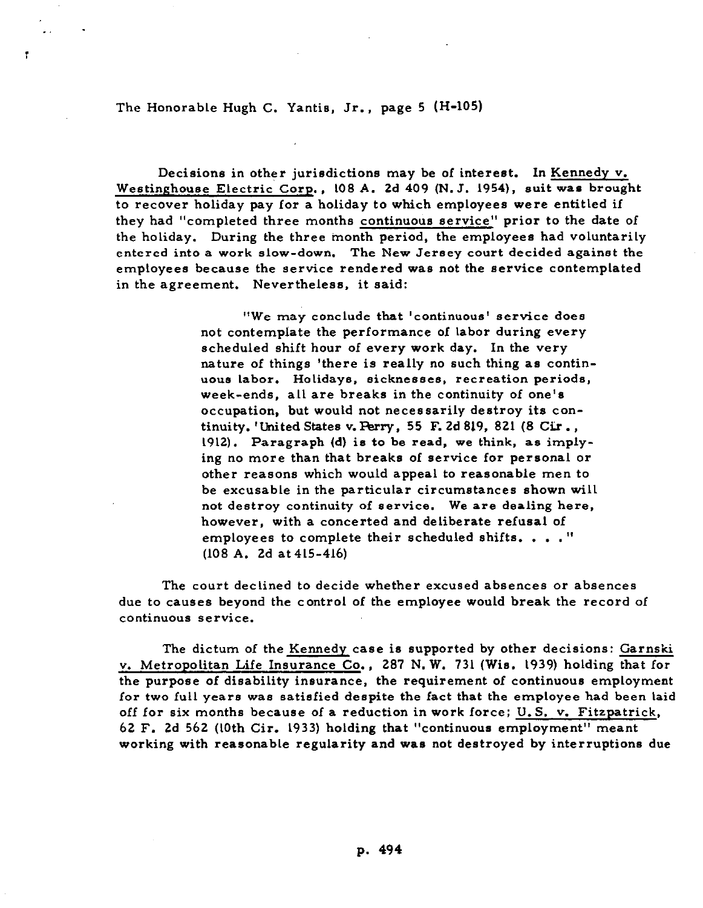**The Honorable Hugh C. Yantis, Jr., page 5 (H-105)** 

**. .** 

**I** 

**Decisions in other jurisdictions may be of interest. In Kennedy v.**  Westinghouse Electric Corp., 108 A. 2d 409 (N. J. 1954), suit was brought **to recover holiday pay for a holiday to which employees were entitled if they had "completed three months continuous service" prior to the date of the holiday. During the three month period. the employees had voluntarily entered into a work slow-down. The New Jersey court decided against the employees because the service rendered was not the service contemplated in the agreement. Nevertheless, it said:** 

> **"We may conclude that 'continuous' service does not contemplate the performance of labor during every scheduled shift hour of every work day. In the very nature of things 'there is really no such thing as continuous labor. Holidays, sicknesses, recreation periods, week-ends, all are breaks in the continuity of one's occupation, but would not necessarily destroy its continuity. 'United States v. Perry, 55 F. 2d 819, 821 (8 Cir . ,**  1912). Paragraph (d) is to be read, we think, as imply**ing no more than that breaks of service for personal or other reasons which would appeal to reasonable men to be excusable in the particular circumstances shown will not destroy continuity of service. We are dealing here, however, with a concerted and deliberate refusal of employees to complete their scheduled shifts. . . .'I (108 A. 2d at 415-416)**

**The court declined to decide whether excused absences or absences due to causes beyond the control of the employee would break the record of continuous service.** 

**The dictum of the Kennedy case is supported by other decisions: Garnski v. Metropolitan Life Insurance Co., 287 N. W. 731 (Wis. 1939) holding that for the purpose of disability insurance, the requirement of continuous employment for two full years was satisfied despite the fact that the employee had been laid off for six months because of a reduction in work force; U.S. v. Fitzpatrick. 62 F. 2d 562 (10th Cir. 1933) holding that "continuous employment" meant working with reasonable regularity and was not destroyed by interruptions due**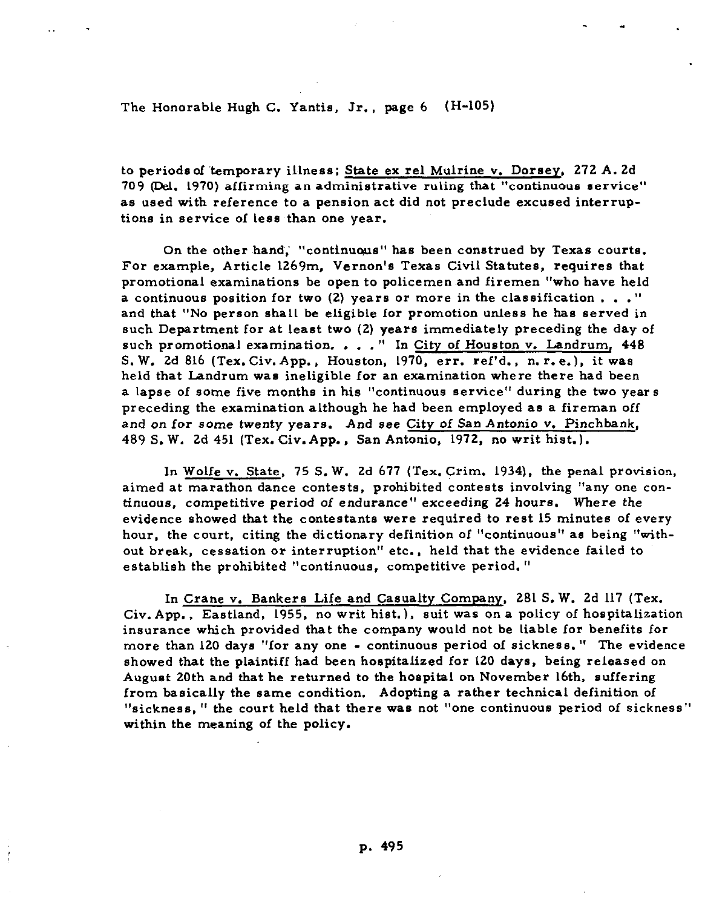**The Honorable Hugh C. Yantis, Jr., page 6 (H-105)** 

**to periods of 'temporary illness; State ex rel Mulrine v. Dorsey, 272 A. 2d 709 (Del. 1970) affirming an administrative ruling that "continuous service" as used with reference to a pension act did not preclude excused interruptions in service of less than one year.** 

**On the other hand,' "continuous" has been construed by Texas courts. For example, Article 1269m. Vernon's Texas Civil Statutes, requires that**  promotional examinations be open to policemen and firemen "who have held **a continuous position for two (2) years or more in the classification . . ." and that "No person shall be eligible for promotion unless he has served in such Department for at least two (2) years immediately preceding the day of such promotional examination. . . . " In City of Houston v. Landrum, 448 S. W. 2d 816 (Tex. Civ. App., Houston, 1970. err. ref'd., n. r.e.). it was held that Landrum was ineligible for an examination where there had been a lapse of some five months in his "continuous service" during the two years preceding the examination although he had been employed as a fireman off and on for some twenty years. And see City of San Antonio v. Pinchbank, 489 S. W. 2d 451 (Tex. Civ.App., San Antonio, 1972, no writ hist.).** 

**In Wolfe v. State, 75 S. W. 2d 677 (Tex. Crim. 1934), the penal provision, aimed at marathon dance contests, prohibited contests involving "any one continuous, competitive period of endurance" exceeding 24 hours. Where the evidence showed that the contestants were required to rest 15 minutes of every hour, the court, citing the dictionary definition of "continuous" as being "without break, cessation or interruption" etc., held that the evidence failed to establish the prohibited "continuous, competitive period. "** 

**In Crane V. Bankers Life and Casualty Company, 281 S. W. 2d 117 (Tex. Civ. App., Eastland, 1955, no writ hist.), suit was an a policy of hospitalization insurance which provided that the company would not be liable for benefits for more than 120 days "for any one - continuous period of sickness." The evidence showed that the plaintiff had been hospitalized for 120 days, being released on August 20th and that he returned to the hospital on November 16th. suffering from basically the same condition, Adopting a rather technical definition of "sickness, " the court held that there was not "one continuous period of sickness" within the meaning of the policy.**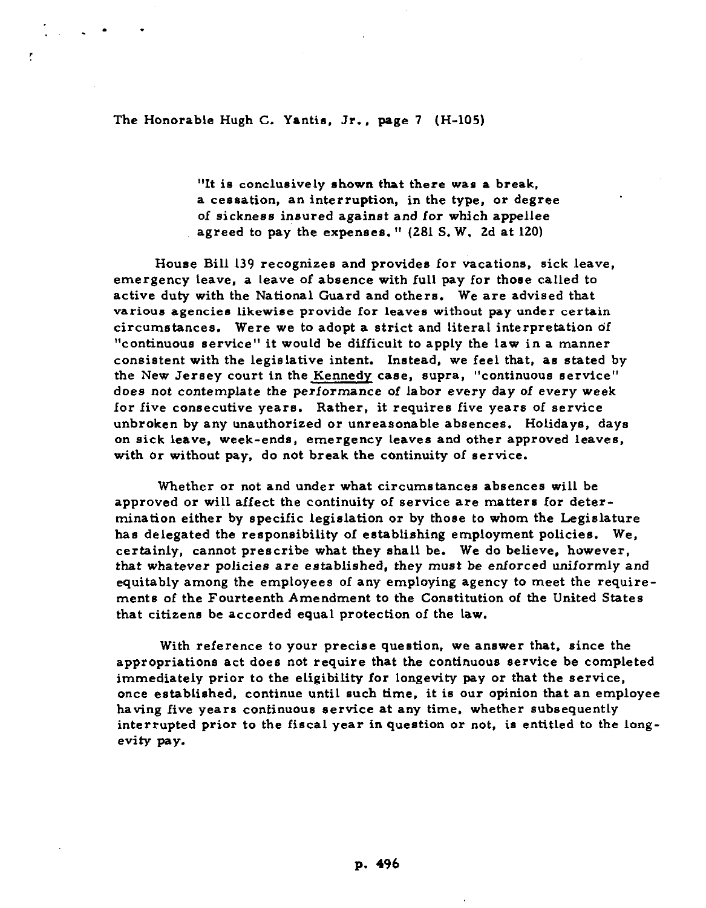**The Honorable Hugh C. Yantis, Jr., page 7 (H-105)** 

Ŧ

**"It is conclusively shown that there was a break, a cessation, an interruption, in the type, or degree of sickness insured against and for which appellee agreed to pay the expenses." (281 S. W. 2d at 120)** 

**House Bill 139 recognizes and provides for vacations, sick leave, emergency leave, a leave of absence with full pay for those called to active duty with the National Guard and others. We are advised that various agencies likewise provide for leaves without pay under certain circumstances. Were we to adopt a strict and literal interpretation of "continuous service" it would be difficult to apply the law in a manner consistent with the legislative intent. Instead, we feel that, as stated by the New Jersey court in the Kennedy case, supra, "continuous service" does not contemplate the performance of labor every day of every week for five consecutive years. Rather, it requires five years of service**  unbroken by any unauthorized or unreasonable absences. Holidays, days **on sick leave, week-ends, emergency leaves and other approved leaves, with or without pay, do not break the continuity of service.** 

**Whether or not and under what circumstances absences will be approved or will affect the continuity of service are matters for determination either by specific legislation or by those to whom the Legislature has delegated the responsibility of establishing employment policies. We, certainly, cannot prescribe what they shall be. We do believe, however, that whatever policies are established, they must be enforced uniformly and equitably among the employees of any employing agency to meet the requirements of the Fourteenth Amendment to the Constitution of the United States that citizens be accorded equal protection of the law.** 

**With reference to your precise question, we answer that. since the appropriations act does not require that the continuous service be completed immediately prior to the eligibility for longevity pay or that the service, once established, continue until such time, it is our opinion that an employee having five years continuous service at any time, whether subsequently interrupted prior to the fiscal year in question or not, is entitled to the longevity pay.**